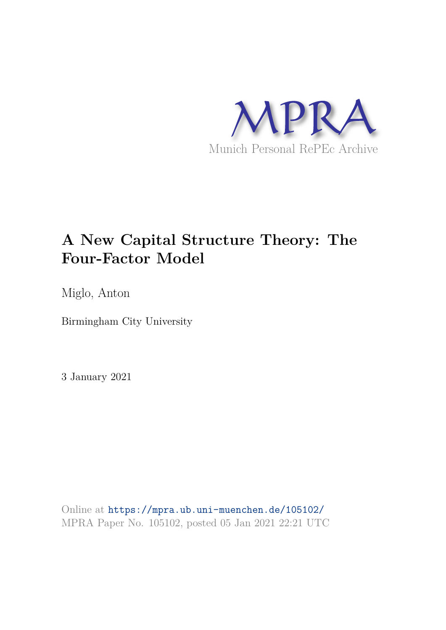

# **A New Capital Structure Theory: The Four-Factor Model**

Miglo, Anton

Birmingham City University

3 January 2021

Online at https://mpra.ub.uni-muenchen.de/105102/ MPRA Paper No. 105102, posted 05 Jan 2021 22:21 UTC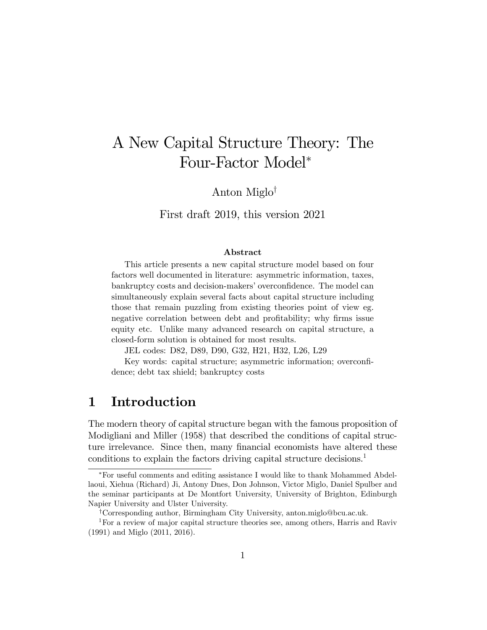# A New Capital Structure Theory: The Four-Factor Model

Anton Miglo<sup> $\dagger$ </sup>

First draft 2019, this version 2021

#### Abstract

This article presents a new capital structure model based on four factors well documented in literature: asymmetric information, taxes, bankruptcy costs and decision-makers' overconfidence. The model can simultaneously explain several facts about capital structure including those that remain puzzling from existing theories point of view eg. negative correlation between debt and profitability; why firms issue equity etc. Unlike many advanced research on capital structure, a closed-form solution is obtained for most results.

JEL codes: D82, D89, D90, G32, H21, H32, L26, L29

Key words: capital structure; asymmetric information; overconÖdence; debt tax shield; bankruptcy costs

# 1 Introduction

The modern theory of capital structure began with the famous proposition of Modigliani and Miller (1958) that described the conditions of capital structure irrelevance. Since then, many financial economists have altered these conditions to explain the factors driving capital structure decisions.<sup>1</sup>

For useful comments and editing assistance I would like to thank Mohammed Abdellaoui, Xiehua (Richard) Ji, Antony Dnes, Don Johnson, Victor Miglo, Daniel Spulber and the seminar participants at De Montfort University, University of Brighton, Edinburgh Napier University and Ulster University.

<sup>&</sup>lt;sup>†</sup>Corresponding author, Birmingham City University, anton.miglo@bcu.ac.uk.

<sup>&</sup>lt;sup>1</sup>For a review of major capital structure theories see, among others, Harris and Raviv (1991) and Miglo (2011, 2016).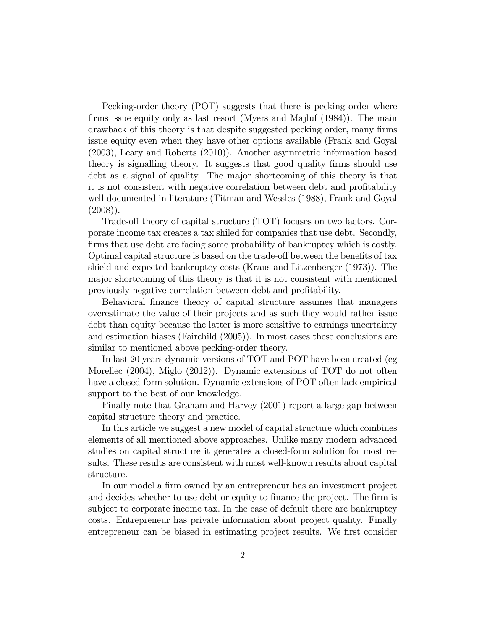Pecking-order theory (POT) suggests that there is pecking order where firms issue equity only as last resort (Myers and Majluf (1984)). The main drawback of this theory is that despite suggested pecking order, many firms issue equity even when they have other options available (Frank and Goyal (2003), Leary and Roberts (2010)). Another asymmetric information based theory is signalling theory. It suggests that good quality firms should use debt as a signal of quality. The major shortcoming of this theory is that it is not consistent with negative correlation between debt and profitability well documented in literature (Titman and Wessles (1988), Frank and Goyal  $(2008)$ ).

Trade-off theory of capital structure (TOT) focuses on two factors. Corporate income tax creates a tax shiled for companies that use debt. Secondly, firms that use debt are facing some probability of bankruptcy which is costly. Optimal capital structure is based on the trade-off between the benefits of tax shield and expected bankruptcy costs (Kraus and Litzenberger (1973)). The major shortcoming of this theory is that it is not consistent with mentioned previously negative correlation between debt and profitability.

Behavioral finance theory of capital structure assumes that managers overestimate the value of their projects and as such they would rather issue debt than equity because the latter is more sensitive to earnings uncertainty and estimation biases (Fairchild (2005)). In most cases these conclusions are similar to mentioned above pecking-order theory.

In last 20 years dynamic versions of TOT and POT have been created (eg Morellec (2004), Miglo (2012)). Dynamic extensions of TOT do not often have a closed-form solution. Dynamic extensions of POT often lack empirical support to the best of our knowledge.

Finally note that Graham and Harvey (2001) report a large gap between capital structure theory and practice.

In this article we suggest a new model of capital structure which combines elements of all mentioned above approaches. Unlike many modern advanced studies on capital structure it generates a closed-form solution for most results. These results are consistent with most well-known results about capital structure.

In our model a firm owned by an entrepreneur has an investment project and decides whether to use debt or equity to finance the project. The firm is subject to corporate income tax. In the case of default there are bankruptcy costs. Entrepreneur has private information about project quality. Finally entrepreneur can be biased in estimating project results. We first consider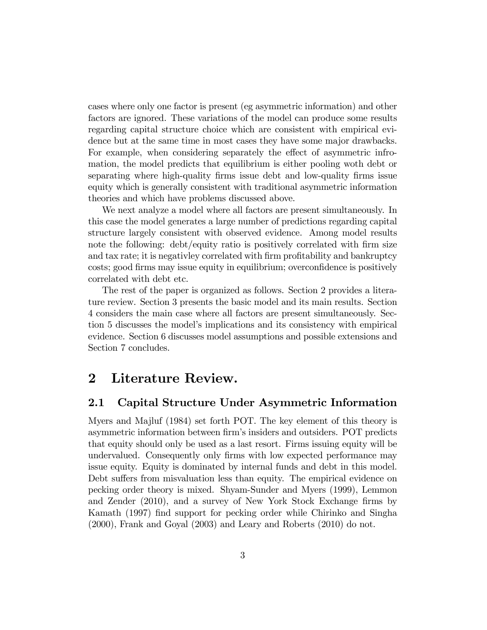cases where only one factor is present (eg asymmetric information) and other factors are ignored. These variations of the model can produce some results regarding capital structure choice which are consistent with empirical evidence but at the same time in most cases they have some major drawbacks. For example, when considering separately the effect of asymmetric infromation, the model predicts that equilibrium is either pooling woth debt or separating where high-quality Örms issue debt and low-quality Örms issue equity which is generally consistent with traditional asymmetric information theories and which have problems discussed above.

We next analyze a model where all factors are present simultaneously. In this case the model generates a large number of predictions regarding capital structure largely consistent with observed evidence. Among model results note the following: debt/equity ratio is positively correlated with firm size and tax rate; it is negativley correlated with firm profitability and bankruptcy costs; good firms may issue equity in equilibrium; overconfidence is positively correlated with debt etc.

The rest of the paper is organized as follows. Section 2 provides a literature review. Section 3 presents the basic model and its main results. Section 4 considers the main case where all factors are present simultaneously. Section 5 discusses the modelís implications and its consistency with empirical evidence. Section 6 discusses model assumptions and possible extensions and Section 7 concludes.

# 2 Literature Review.

### 2.1 Capital Structure Under Asymmetric Information

Myers and Majluf (1984) set forth POT. The key element of this theory is asymmetric information between firm's insiders and outsiders. POT predicts that equity should only be used as a last resort. Firms issuing equity will be undervalued. Consequently only firms with low expected performance may issue equity. Equity is dominated by internal funds and debt in this model. Debt suffers from misvaluation less than equity. The empirical evidence on pecking order theory is mixed. Shyam-Sunder and Myers (1999), Lemmon and Zender  $(2010)$ , and a survey of New York Stock Exchange firms by Kamath (1997) Önd support for pecking order while Chirinko and Singha (2000), Frank and Goyal (2003) and Leary and Roberts (2010) do not.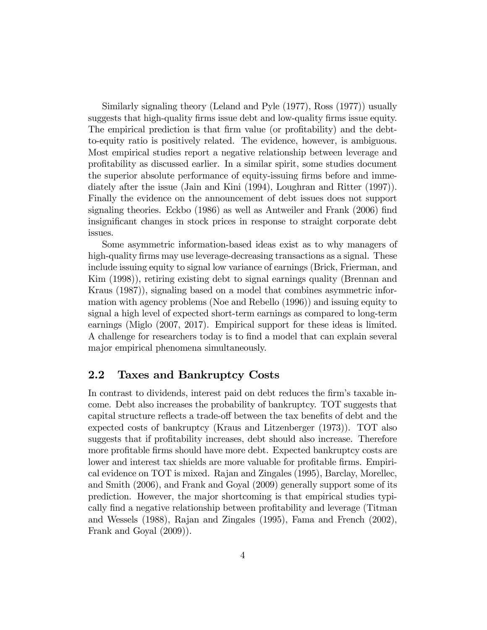Similarly signaling theory (Leland and Pyle (1977), Ross (1977)) usually suggests that high-quality firms issue debt and low-quality firms issue equity. The empirical prediction is that firm value (or profitability) and the debtto-equity ratio is positively related. The evidence, however, is ambiguous. Most empirical studies report a negative relationship between leverage and proÖtability as discussed earlier. In a similar spirit, some studies document the superior absolute performance of equity-issuing firms before and immediately after the issue (Jain and Kini (1994), Loughran and Ritter (1997)). Finally the evidence on the announcement of debt issues does not support signaling theories. Eckbo (1986) as well as Antweiler and Frank (2006) find insignificant changes in stock prices in response to straight corporate debt issues.

Some asymmetric information-based ideas exist as to why managers of high-quality firms may use leverage-decreasing transactions as a signal. These include issuing equity to signal low variance of earnings (Brick, Frierman, and Kim (1998)), retiring existing debt to signal earnings quality (Brennan and Kraus (1987)), signaling based on a model that combines asymmetric information with agency problems (Noe and Rebello (1996)) and issuing equity to signal a high level of expected short-term earnings as compared to long-term earnings (Miglo (2007, 2017). Empirical support for these ideas is limited. A challenge for researchers today is to Önd a model that can explain several major empirical phenomena simultaneously.

### 2.2 Taxes and Bankruptcy Costs

In contrast to dividends, interest paid on debt reduces the firm's taxable income. Debt also increases the probability of bankruptcy. TOT suggests that capital structure reflects a trade-off between the tax benefits of debt and the expected costs of bankruptcy (Kraus and Litzenberger (1973)). TOT also suggests that if profitability increases, debt should also increase. Therefore more profitable firms should have more debt. Expected bankruptcy costs are lower and interest tax shields are more valuable for profitable firms. Empirical evidence on TOT is mixed. Rajan and Zingales (1995), Barclay, Morellec, and Smith (2006), and Frank and Goyal (2009) generally support some of its prediction. However, the major shortcoming is that empirical studies typically find a negative relationship between profitability and leverage (Titman and Wessels (1988), Rajan and Zingales (1995), Fama and French (2002), Frank and Goyal (2009)).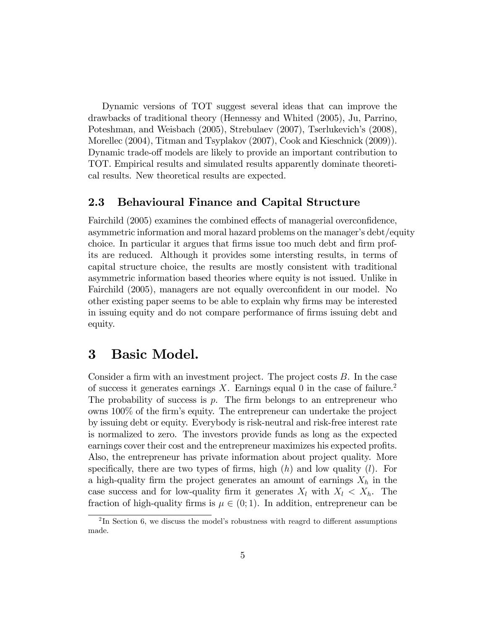Dynamic versions of TOT suggest several ideas that can improve the drawbacks of traditional theory (Hennessy and Whited (2005), Ju, Parrino, Poteshman, and Weisbach (2005), Strebulaev (2007), Tserlukevich's (2008), Morellec (2004), Titman and Tsyplakov (2007), Cook and Kieschnick (2009)). Dynamic trade-off models are likely to provide an important contribution to TOT. Empirical results and simulated results apparently dominate theoretical results. New theoretical results are expected.

### 2.3 Behavioural Finance and Capital Structure

Fairchild (2005) examines the combined effects of managerial overconfidence, asymmetric information and moral hazard problems on the manager's debt/equity choice. In particular it argues that firms issue too much debt and firm profits are reduced. Although it provides some intersting results, in terms of capital structure choice, the results are mostly consistent with traditional asymmetric information based theories where equity is not issued. Unlike in Fairchild (2005), managers are not equally overconfident in our model. No other existing paper seems to be able to explain why Örms may be interested in issuing equity and do not compare performance of firms issuing debt and equity.

## 3 Basic Model.

Consider a firm with an investment project. The project costs  $B$ . In the case of success it generates earnings  $X$ . Earnings equal 0 in the case of failure.<sup>2</sup> The probability of success is  $p$ . The firm belongs to an entrepreneur who owns 100% of the Örmís equity. The entrepreneur can undertake the project by issuing debt or equity. Everybody is risk-neutral and risk-free interest rate is normalized to zero. The investors provide funds as long as the expected earnings cover their cost and the entrepreneur maximizes his expected profits. Also, the entrepreneur has private information about project quality. More specifically, there are two types of firms, high  $(h)$  and low quality  $(l)$ . For a high-quality firm the project generates an amount of earnings  $X_h$  in the case success and for low-quality firm it generates  $X_l$  with  $X_l < X_h$ . The fraction of high-quality firms is  $\mu \in (0, 1)$ . In addition, entrepreneur can be

 ${}^{2}$ In Section 6, we discuss the model's robustness with reagrd to different assumptions made.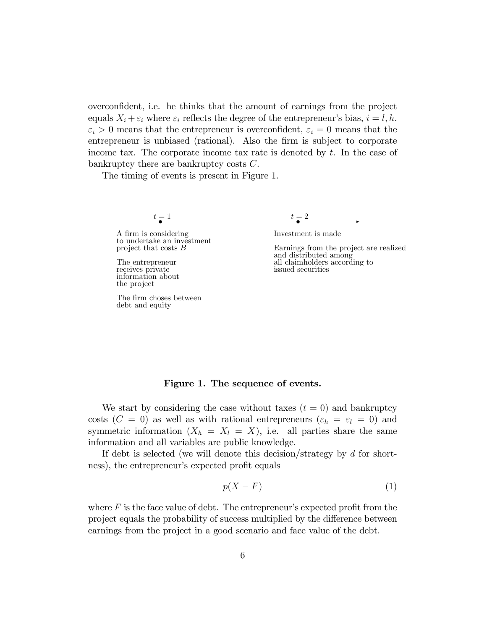overconfident, i.e. he thinks that the amount of earnings from the project equals  $X_i + \varepsilon_i$  where  $\varepsilon_i$  reflects the degree of the entrepreneur's bias,  $i = l, h$ .  $\varepsilon_i > 0$  means that the entrepreneur is overconfident,  $\varepsilon_i = 0$  means that the entrepreneur is unbiased (rational). Also the firm is subject to corporate income tax. The corporate income tax rate is denoted by t. In the case of bankruptcy there are bankruptcy costs C.

The timing of events is present in Figure 1.

| $\sim$ |  |
|--------|--|
|        |  |

A firm is considering to undertake an investment project that costs B

The entrepreneur receives private information about the project

The firm choses between debt and equity

 $t = 2$ 

Investment is made

Earnings from the project are realized and distributed among all claimholders according to issued securities

#### Figure 1. The sequence of events.

We start by considering the case without taxes  $(t = 0)$  and bankruptcy costs ( $C = 0$ ) as well as with rational entrepreneurs ( $\varepsilon_h = \varepsilon_l = 0$ ) and symmetric information  $(X_h = X_l = X)$ , i.e. all parties share the same information and all variables are public knowledge.

If debt is selected (we will denote this decision/strategy by d for shortness), the entrepreneur's expected profit equals

$$
p(X - F) \tag{1}
$$

where  $F$  is the face value of debt. The entrepreneur's expected profit from the project equals the probability of success multiplied by the difference between earnings from the project in a good scenario and face value of the debt.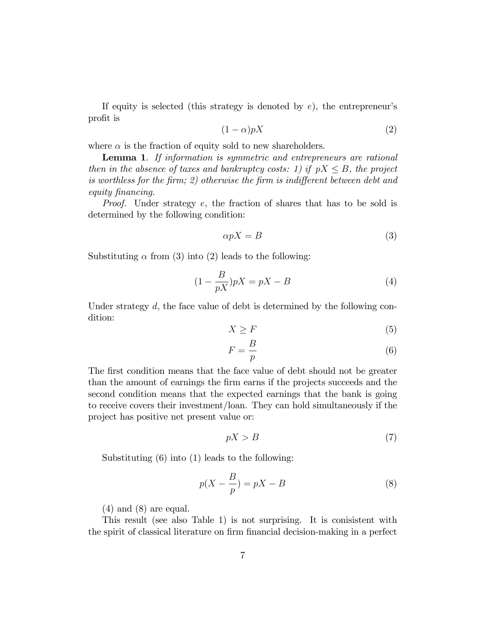If equity is selected (this strategy is denoted by  $e$ ), the entrepreneur's profit is

$$
(1 - \alpha)pX \tag{2}
$$

where  $\alpha$  is the fraction of equity sold to new shareholders.

**Lemma 1.** If information is symmetric and entrepreneurs are rational then in the absence of taxes and bankruptcy costs: 1) if  $pX \leq B$ , the project is worthless for the firm; 2) otherwise the firm is indifferent between debt and equity financing.

Proof. Under strategy e, the fraction of shares that has to be sold is determined by the following condition:

$$
\alpha pX = B \tag{3}
$$

Substituting  $\alpha$  from (3) into (2) leads to the following:

$$
(1 - \frac{B}{pX})pX = pX - B \tag{4}
$$

Under strategy  $d$ , the face value of debt is determined by the following condition:

$$
X \ge F \tag{5}
$$

$$
F = \frac{B}{p} \tag{6}
$$

The first condition means that the face value of debt should not be greater than the amount of earnings the Örm earns if the projects succeeds and the second condition means that the expected earnings that the bank is going to receive covers their investment/loan. They can hold simultaneously if the project has positive net present value or:

$$
pX > B \tag{7}
$$

Substituting (6) into (1) leads to the following:

$$
p(X - \frac{B}{p}) = pX - B \tag{8}
$$

 $(4)$  and  $(8)$  are equal.

This result (see also Table 1) is not surprising. It is conisistent with the spirit of classical literature on firm financial decision-making in a perfect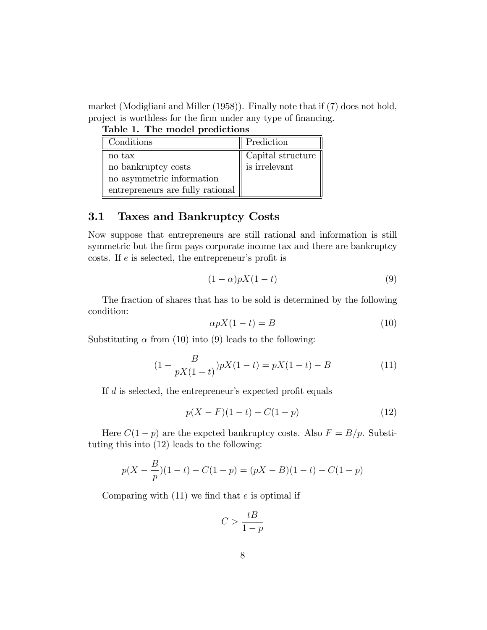market (Modigliani and Miller (1958)). Finally note that if (7) does not hold, project is worthless for the firm under any type of financing.

|  |  | Table 1. The model predictions |
|--|--|--------------------------------|
|--|--|--------------------------------|

| Conditions                       | Prediction                |
|----------------------------------|---------------------------|
| no tax                           | Capital structure $\vert$ |
| no bankruptcy costs              | is irrelevant             |
| no asymmetric information        |                           |
| entrepreneurs are fully rational |                           |

## 3.1 Taxes and Bankruptcy Costs

Now suppose that entrepreneurs are still rational and information is still symmetric but the firm pays corporate income tax and there are bankruptcy costs. If  $e$  is selected, the entrepreneur's profit is

$$
(1 - \alpha)pX(1 - t) \tag{9}
$$

The fraction of shares that has to be sold is determined by the following condition:

$$
\alpha p X (1 - t) = B \tag{10}
$$

Substituting  $\alpha$  from (10) into (9) leads to the following:

$$
(1 - \frac{B}{pX(1-t)})pX(1-t) = pX(1-t) - B \tag{11}
$$

If  $d$  is selected, the entrepreneur's expected profit equals

$$
p(X - F)(1 - t) - C(1 - p) \tag{12}
$$

Here  $C(1-p)$  are the expcted bankruptcy costs. Also  $F = B/p$ . Substituting this into (12) leads to the following:

$$
p(X - \frac{B}{p})(1-t) - C(1-p) = (pX - B)(1-t) - C(1-p)
$$

Comparing with  $(11)$  we find that e is optimal if

$$
C > \frac{tB}{1 - p}
$$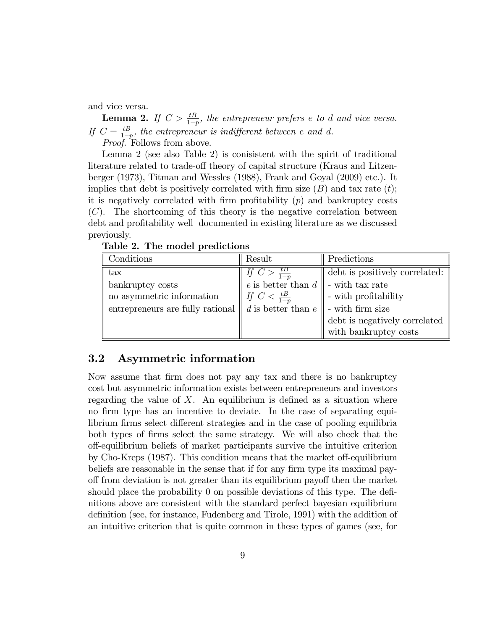and vice versa.

**Lemma 2.** If  $C > \frac{tB}{1-p}$ , the entrepreneur prefers e to d and vice versa. If  $C = \frac{tB}{1-p}$ , the entrepreneur is indifferent between e and d.

Proof. Follows from above.

Lemma 2 (see also Table 2) is conisistent with the spirit of traditional literature related to trade-off theory of capital structure (Kraus and Litzenberger (1973), Titman and Wessles (1988), Frank and Goyal (2009) etc.). It implies that debt is positively correlated with firm size  $(B)$  and tax rate  $(t)$ ; it is negatively correlated with firm profitability  $(p)$  and bankruptcy costs  $(C)$ . The shortcoming of this theory is the negative correlation between debt and profitability well documented in existing literature as we discussed previously.

Table 2. The model predictions

| Conditions                       | Result                         | Predictions                    |
|----------------------------------|--------------------------------|--------------------------------|
| $\text{tax}$                     | If $C > \frac{tB}{1-p}$        | debt is positively correlated: |
| bankruptcy costs                 | e is better than $d \parallel$ | - with tax rate                |
| no asymmetric information        | If $C < \frac{tB}{1-n}$        | - with profitability           |
| entrepreneurs are fully rational | $d$ is better than $e$         | $\parallel$ - with firm size   |
|                                  |                                | debt is negatively correlated  |
|                                  |                                | with bankruptcy costs          |

### 3.2 Asymmetric information

Now assume that Örm does not pay any tax and there is no bankruptcy cost but asymmetric information exists between entrepreneurs and investors regarding the value of  $X$ . An equilibrium is defined as a situation where no firm type has an incentive to deviate. In the case of separating equilibrium firms select different strategies and in the case of pooling equilibria both types of Örms select the same strategy. We will also check that the off-equilibrium beliefs of market participants survive the intuitive criterion by Cho-Kreps  $(1987)$ . This condition means that the market of f-equilibrium beliefs are reasonable in the sense that if for any firm type its maximal payoff from deviation is not greater than its equilibrium payoff then the market should place the probability 0 on possible deviations of this type. The definitions above are consistent with the standard perfect bayesian equilibrium definition (see, for instance, Fudenberg and Tirole, 1991) with the addition of an intuitive criterion that is quite common in these types of games (see, for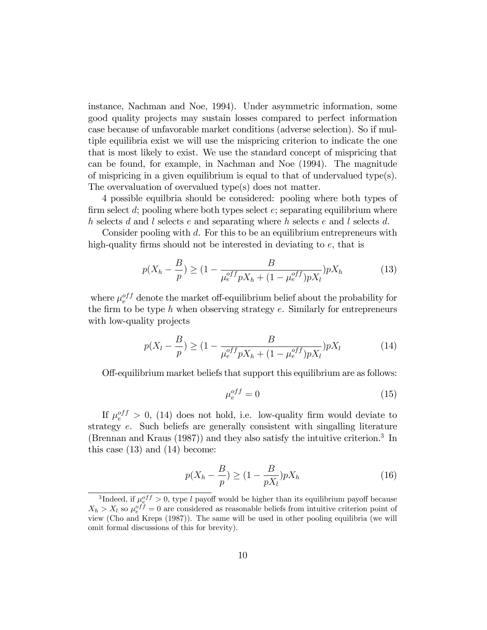instance, Nachman and Noe, 1994). Under asymmetric information, some good quality projects may sustain losses compared to perfect information case because of unfavorable market conditions (adverse selection). So if multiple equilibria exist we will use the mispricing criterion to indicate the one that is most likely to exist. We use the standard concept of mispricing that can be found, for example, in Nachman and Noe (1994). The magnitude of mispricing in a given equilibrium is equal to that of undervalued type(s). The overvaluation of overvalued type(s) does not matter.

4 possible equilbria should be considered: pooling where both types of firm select d; pooling where both types select  $e$ ; separating equilibrium where h selects d and l selects e and separating where h selects e and l selects d.

Consider pooling with d. For this to be an equilibrium entrepreneurs with high-quality firms should not be interested in deviating to  $e$ , that is

$$
p(X_h - \frac{B}{p}) \ge (1 - \frac{B}{\mu_e^{off} pX_h + (1 - \mu_e^{off}) pX_l}) pX_h
$$
 (13)

where  $\mu_e^{off}$  denote the market off-equilibrium belief about the probability for the firm to be type  $h$  when observing strategy  $e$ . Similarly for entrepreneurs with low-quality projects

$$
p(X_l - \frac{B}{p}) \ge (1 - \frac{B}{\mu_e^{off} p X_h + (1 - \mu_e^{off}) p X_l}) p X_l
$$
 (14)

Off-equilibrium market beliefs that support this equilibrium are as follows:

$$
\mu_e^{off} = 0 \tag{15}
$$

If  $\mu_e^{off} > 0$ , (14) does not hold, i.e. low-quality firm would deviate to strategy e. Such beliefs are generally consistent with singalling literature (Brennan and Kraus (1987)) and they also satisfy the intuitive criterion.<sup>3</sup> In this case  $(13)$  and  $(14)$  become:

$$
p(X_h - \frac{B}{p}) \ge (1 - \frac{B}{pX_l})pX_h
$$
\n<sup>(16)</sup>

<sup>&</sup>lt;sup>3</sup>Indeed, if  $\mu_{e}^{off} > 0$ , type l payoff would be higher than its equilibrium payoff because  $X_h > X_l$  so  $\mu_e^{off} = 0$  are considered as reasonable beliefs from intuitive criterion point of view (Cho and Kreps (1987)). The same will be used in other pooling equilibria (we will omit formal discussions of this for brevity).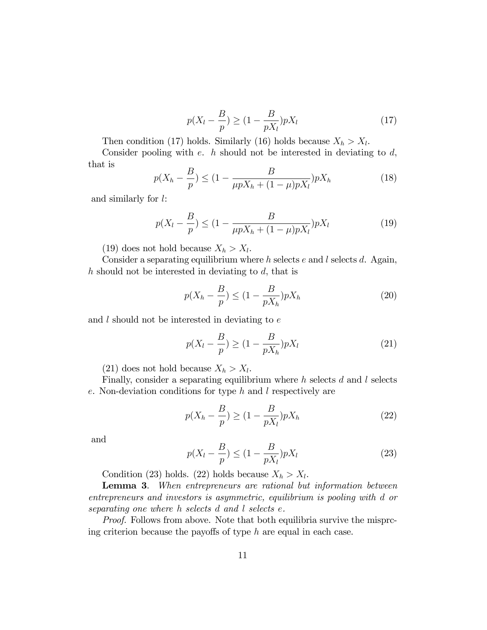$$
p(X_l - \frac{B}{p}) \ge (1 - \frac{B}{pX_l})pX_l
$$
\n(17)

Then condition (17) holds. Similarly (16) holds because  $X_h > X_l$ .

Consider pooling with  $e$ .  $h$  should not be interested in deviating to  $d$ , that is

$$
p(X_h - \frac{B}{p}) \le (1 - \frac{B}{\mu p X_h + (1 - \mu) p X_l}) p X_h
$$
\n(18)

and similarly for l:

$$
p(X_l - \frac{B}{p}) \le (1 - \frac{B}{\mu p X_h + (1 - \mu)p X_l}) p X_l
$$
\n(19)

(19) does not hold because  $X_h > X_l$ .

Consider a separating equilibrium where  $h$  selects  $e$  and  $l$  selects  $d$ . Again, h should not be interested in deviating to d, that is

$$
p(X_h - \frac{B}{p}) \le (1 - \frac{B}{pX_h})pX_h
$$
 (20)

and  $l$  should not be interested in deviating to  $e$ 

$$
p(X_l - \frac{B}{p}) \ge (1 - \frac{B}{pX_h})pX_l
$$
\n(21)

(21) does not hold because  $X_h > X_l$ .

Finally, consider a separating equilibrium where  $h$  selects  $d$  and  $l$  selects e. Non-deviation conditions for type h and l respectively are

$$
p(X_h - \frac{B}{p}) \ge (1 - \frac{B}{pX_l})pX_h
$$
\n(22)

and

$$
p(X_l - \frac{B}{p}) \le (1 - \frac{B}{pX_l})pX_l
$$
 (23)

Condition (23) holds. (22) holds because  $X_h > X_l$ .

Lemma 3. When entrepreneurs are rational but information between entrepreneurs and investors is asymmetric, equilibrium is pooling with d or separating one where h selects d and l selects e.

Proof. Follows from above. Note that both equilibria survive the misprcing criterion because the payoffs of type  $h$  are equal in each case.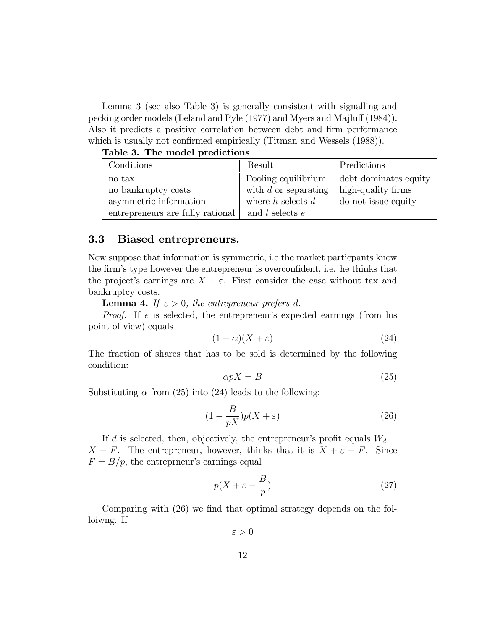Lemma 3 (see also Table 3) is generally consistent with signalling and pecking order models (Leland and Pyle (1977) and Myers and Majluff (1984)). Also it predicts a positive correlation between debt and firm performance which is usually not confirmed empirically (Titman and Wessels (1988)).

Table 3. The model predictions

| Conditions                                                   | Result                 | Predictions                                                       |
|--------------------------------------------------------------|------------------------|-------------------------------------------------------------------|
| no tax                                                       |                        | $\parallel$ Pooling equilibrium $\parallel$ debt dominates equity |
| no bankruptcy costs                                          | with $d$ or separating | $\parallel$ high-quality firms                                    |
| asymmetric information                                       | where $h$ selects $d$  | do not issue equity                                               |
| entrepreneurs are fully rational $\parallel$ and l selects e |                        |                                                                   |

### 3.3 Biased entrepreneurs.

Now suppose that information is symmetric, i.e the market particpants know the firm's type however the entrepreneur is overconfident, i.e. he thinks that the project's earnings are  $X + \varepsilon$ . First consider the case without tax and bankruptcy costs.

**Lemma 4.** If  $\varepsilon > 0$ , the entrepreneur prefers d.

Proof. If e is selected, the entrepreneur's expected earnings (from his point of view) equals

$$
(1 - \alpha)(X + \varepsilon) \tag{24}
$$

The fraction of shares that has to be sold is determined by the following condition:

$$
\alpha pX = B \tag{25}
$$

Substituting  $\alpha$  from (25) into (24) leads to the following:

$$
(1 - \frac{B}{pX})p(X + \varepsilon) \tag{26}
$$

If d is selected, then, objectively, the entrepreneur's profit equals  $W_d =$  $X - F$ . The entrepreneur, however, thinks that it is  $X + \varepsilon - F$ . Since  $F = B/p$ , the entreprneur's earnings equal

$$
p(X + \varepsilon - \frac{B}{p})
$$
\n<sup>(27)</sup>

Comparing with (26) we find that optimal strategy depends on the folloiwng. If

 $\varepsilon > 0$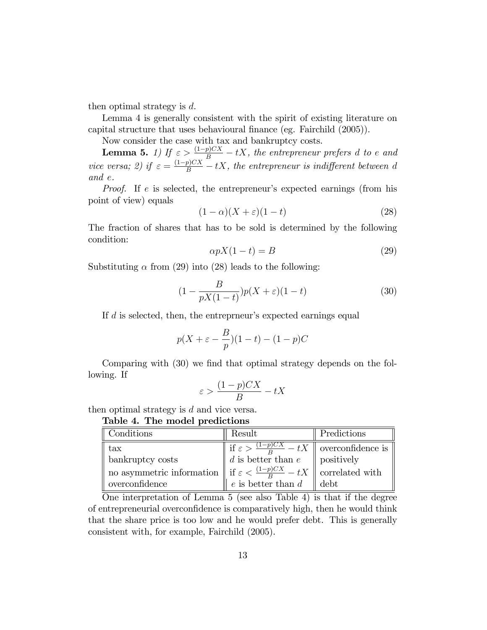then optimal strategy is d.

Lemma 4 is generally consistent with the spirit of existing literature on capital structure that uses behavioural finance (eg. Fairchild (2005)).

Now consider the case with tax and bankruptcy costs.

**Lemma 5.** 1) If  $\varepsilon > \frac{(1-p)CX}{B} - tX$ , the entrepreneur prefers d to e and vice versa; 2) if  $\varepsilon = \frac{(1-p)CX}{B} - tX$ , the entrepreneur is indifferent between d and e.

*Proof.* If e is selected, the entrepreneur's expected earnings (from his point of view) equals

$$
(1 - \alpha)(X + \varepsilon)(1 - t) \tag{28}
$$

The fraction of shares that has to be sold is determined by the following condition:

$$
\alpha p X (1 - t) = B \tag{29}
$$

Substituting  $\alpha$  from (29) into (28) leads to the following:

$$
(1 - \frac{B}{pX(1-t)})p(X+\varepsilon)(1-t)
$$
\n(30)

If  $d$  is selected, then, the entreprneur's expected earnings equal

$$
p(X + \varepsilon - \frac{B}{p})(1-t) - (1-p)C
$$

Comparing with (30) we find that optimal strategy depends on the following. If

$$
\varepsilon > \frac{(1-p)CX}{B} - tX
$$

then optimal strategy is d and vice versa.

Table 4. The model predictions

| Conditions                                                                                                                                                                           | Result                                                                                       | Predictions |
|--------------------------------------------------------------------------------------------------------------------------------------------------------------------------------------|----------------------------------------------------------------------------------------------|-------------|
| $\rm{tax}$                                                                                                                                                                           | if $\varepsilon > \frac{(1-p)CX}{B} - tX$ overconfidence is<br>d is better than e positively |             |
| bankruptcy costs                                                                                                                                                                     |                                                                                              |             |
| no asymmetric information $\left\  \begin{array}{l} \frac{1}{B} \text{if } \varepsilon < \frac{(1-p)CX}{B} - tX \\ e \text{ is better than } d \end{array} \right\ $ correlated with |                                                                                              |             |
|                                                                                                                                                                                      |                                                                                              |             |

One interpretation of Lemma 5 (see also Table 4) is that if the degree of entrepreneurial overconfidence is comparatively high, then he would think that the share price is too low and he would prefer debt. This is generally consistent with, for example, Fairchild (2005).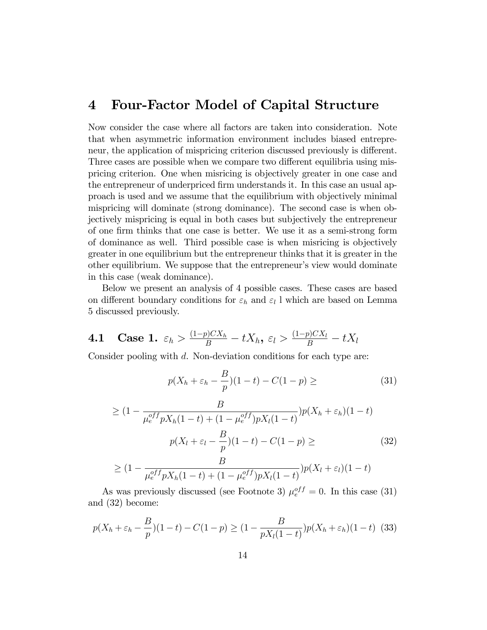## 4 Four-Factor Model of Capital Structure

Now consider the case where all factors are taken into consideration. Note that when asymmetric information environment includes biased entrepreneur, the application of mispricing criterion discussed previously is different. Three cases are possible when we compare two different equilibria using mispricing criterion. One when misricing is objectively greater in one case and the entrepreneur of underpriced firm understands it. In this case an usual approach is used and we assume that the equilibrium with objectively minimal mispricing will dominate (strong dominance). The second case is when objectively mispricing is equal in both cases but subjectively the entrepreneur of one Örm thinks that one case is better. We use it as a semi-strong form of dominance as well. Third possible case is when misricing is objectively greater in one equilibrium but the entrepreneur thinks that it is greater in the other equilibrium. We suppose that the entrepreneur's view would dominate in this case (weak dominance).

Below we present an analysis of 4 possible cases. These cases are based on different boundary conditions for  $\varepsilon_h$  and  $\varepsilon_l$  l which are based on Lemma 5 discussed previously.

**4.1** Case 1.  $\varepsilon_h > \frac{(1-p)CX_h}{B} - tX_h$ ,  $\varepsilon_l > \frac{(1-p)CX_l}{B} - tX_l$ 

Consider pooling with d. Non-deviation conditions for each type are:

$$
p(X_h + \varepsilon_h - \frac{B}{p})(1-t) - C(1-p) \geq \tag{31}
$$

$$
\geq (1 - \frac{B}{\mu_e^{off} p X_h (1-t) + (1 - \mu_e^{off}) p X_l (1-t)}) p(X_h + \varepsilon_h)(1-t)
$$

$$
p(X_l + \varepsilon_l - \frac{B}{p})(1-t) - C(1-p) \geq (32)
$$

$$
> (1 - \frac{B}{\mu_e}) p(X_l + \varepsilon_l)(1-t)
$$

$$
\geq (1 - \frac{B}{\mu_e^{off} p X_h (1-t) + (1 - \mu_e^{off}) p X_l (1-t)}) p(X_l + \varepsilon_l) (1-t)
$$

As was previously discussed (see Footnote 3)  $\mu_e^{off} = 0$ . In this case (31) and (32) become:

$$
p(X_h + \varepsilon_h - \frac{B}{p})(1-t) - C(1-p) \ge (1 - \frac{B}{pX_l(1-t)})p(X_h + \varepsilon_h)(1-t)
$$
 (33)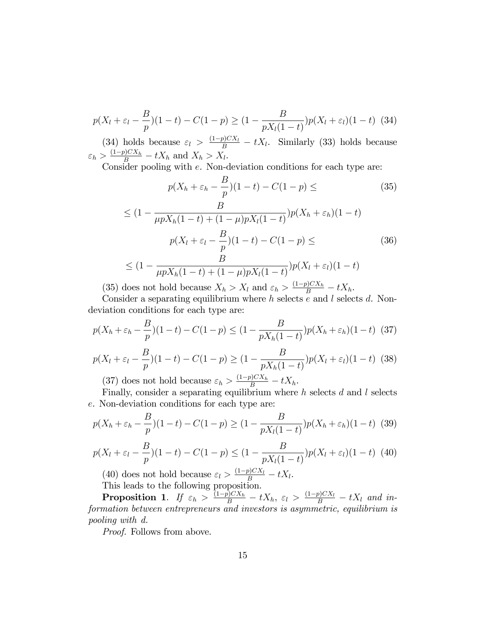$$
p(X_l + \varepsilon_l - \frac{B}{p})(1-t) - C(1-p) \ge (1 - \frac{B}{pX_l(1-t)})p(X_l + \varepsilon_l)(1-t)
$$
 (34)

(34) holds because  $\varepsilon_l > \frac{(1-p)CX_l}{B} - tX_l$ . Similarly (33) holds because  $\varepsilon_h > \frac{(1-p)CX_h}{B} - tX_h$  and  $X_h > X_l$ .

Consider pooling with e. Non-deviation conditions for each type are:

$$
p(X_h + \varepsilon_h - \frac{B}{p})(1-t) - C(1-p) \leq \qquad (35)
$$
  

$$
\leq (1 - \frac{B}{\mu p X_h (1-t) + (1-\mu)p X_l (1-t)}) p(X_h + \varepsilon_h)(1-t)
$$
  

$$
p(X_l + \varepsilon_l - \frac{B}{p})(1-t) - C(1-p) \leq \qquad (36)
$$
  

$$
\leq (1 - \frac{B}{\mu p X_h (1-t) + (1-\mu)p X_l (1-t)}) p(X_l + \varepsilon_l)(1-t)
$$

(35) does not hold because  $X_h > X_l$  and  $\varepsilon_h > \frac{(1-p)CX_h}{B} - tX_h$ .

Consider a separating equilibrium where  $h$  selects  $e$  and  $l$  selects  $d$ . Nondeviation conditions for each type are:

$$
p(X_h + \varepsilon_h - \frac{B}{p})(1-t) - C(1-p) \le (1 - \frac{B}{pX_h(1-t)})p(X_h + \varepsilon_h)(1-t)
$$
 (37)

$$
p(X_l + \varepsilon_l - \frac{B}{p})(1-t) - C(1-p) \ge (1 - \frac{B}{pX_h(1-t)})p(X_l + \varepsilon_l)(1-t)
$$
 (38)

(37) does not hold because  $\varepsilon_h > \frac{(1-p)CX_h}{B} - tX_h$ .

Finally, consider a separating equilibrium where  $h$  selects  $d$  and  $l$  selects e. Non-deviation conditions for each type are:

$$
p(X_h + \varepsilon_h - \frac{B}{p})(1-t) - C(1-p) \ge (1 - \frac{B}{pX_l(1-t)})p(X_h + \varepsilon_h)(1-t)
$$
 (39)

$$
p(X_l + \varepsilon_l - \frac{B}{p})(1-t) - C(1-p) \le (1 - \frac{B}{pX_l(1-t)})p(X_l + \varepsilon_l)(1-t)
$$
(40)

(40) does not hold because  $\varepsilon_l > \frac{(1-p)CX_l}{B} - tX_l$ . This leads to the following proposition.

**Proposition 1.** If  $\varepsilon_h > \frac{(1-p)CX_h}{B} - tX_h$ ,  $\varepsilon_l > \frac{(1-p)CX_l}{B} - tX_l$  and information between entrepreneurs and investors is asymmetric, equilibrium is pooling with d.

Proof. Follows from above.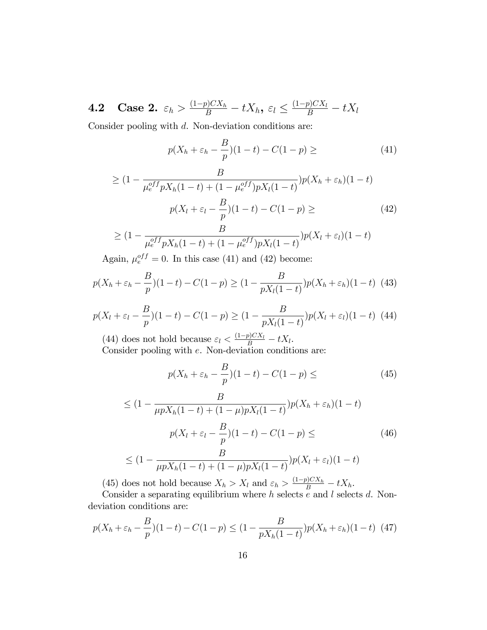**4.2** Case 2.  $\varepsilon_h > \frac{(1-p)CX_h}{B} - tX_h$ ,  $\varepsilon_l \leq \frac{(1-p)CX_l}{B} - tX_l$ 

Consider pooling with  $d$ . Non-deviation conditions are:

$$
p(X_h + \varepsilon_h - \frac{B}{p})(1 - t) - C(1 - p) \geq (41)
$$

$$
\geq (1 - \frac{B}{\mu_e^{off} p X_h (1 - t) + (1 - \mu_e^{off}) p X_l (1 - t)}) p(X_h + \varepsilon_h) (1 - t)
$$
  

$$
p(X_l + \varepsilon_l - \frac{B}{p})(1 - t) - C(1 - p) \geq (42)
$$

$$
\geq (1 - \frac{B}{\mu_e^{off} p X_h (1-t) + (1 - \mu_e^{off}) p X_l (1-t)}) p(X_l + \varepsilon_l) (1-t)
$$

Again,  $\mu_e^{off} = 0$ . In this case (41) and (42) become:

$$
p(X_h + \varepsilon_h - \frac{B}{p})(1-t) - C(1-p) \ge (1 - \frac{B}{pX_l(1-t)})p(X_h + \varepsilon_h)(1-t)
$$
 (43)

$$
p(X_l + \varepsilon_l - \frac{B}{p})(1-t) - C(1-p) \ge (1 - \frac{B}{pX_l(1-t)})p(X_l + \varepsilon_l)(1-t)
$$
 (44)

(44) does not hold because  $\varepsilon_l < \frac{(1-p)CX_l}{B} - tX_l$ . Consider pooling with e. Non-deviation conditions are:

$$
p(X_h + \varepsilon_h - \frac{B}{p})(1-t) - C(1-p) \leq (45)
$$

$$
\leq (1 - \frac{B}{\mu p X_h (1 - t) + (1 - \mu) p X_l (1 - t)}) p(X_h + \varepsilon_h) (1 - t)
$$
  

$$
p(X_l + \varepsilon_l - \frac{B}{p})(1 - t) - C(1 - p) \leq
$$
 (46)

$$
\leq (1 - \frac{B}{\mu p X_h (1-t) + (1-\mu) p X_l (1-t)}) p(X_l + \varepsilon_l) (1-t)
$$

(45) does not hold because  $X_h > X_l$  and  $\varepsilon_h > \frac{(1-p)CX_h}{B} - tX_h$ .

Consider a separating equilibrium where  $h$  selects  $e$  and  $l$  selects  $d$ . Nondeviation conditions are:

$$
p(X_h + \varepsilon_h - \frac{B}{p})(1-t) - C(1-p) \le (1 - \frac{B}{pX_h(1-t)})p(X_h + \varepsilon_h)(1-t)
$$
 (47)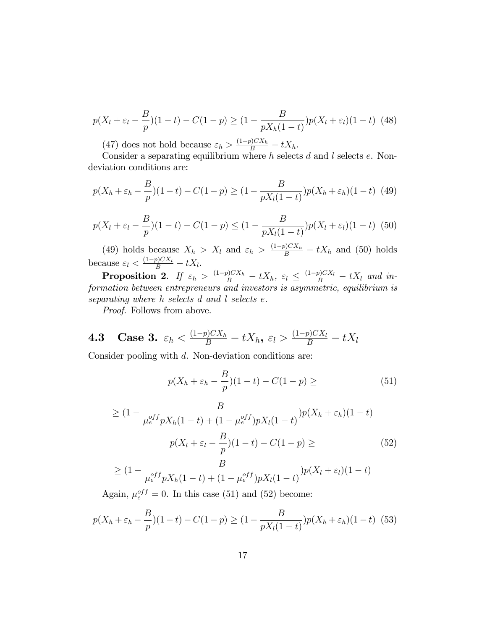$$
p(X_l + \varepsilon_l - \frac{B}{p})(1-t) - C(1-p) \ge (1 - \frac{B}{pX_h(1-t)})p(X_l + \varepsilon_l)(1-t)
$$
 (48)

(47) does not hold because  $\varepsilon_h > \frac{(1-p)CX_h}{B} - tX_h$ .

Consider a separating equilibrium where  $h$  selects  $d$  and  $l$  selects  $e$ . Nondeviation conditions are:

$$
p(X_h + \varepsilon_h - \frac{B}{p})(1-t) - C(1-p) \ge (1 - \frac{B}{pX_l(1-t)})p(X_h + \varepsilon_h)(1-t)
$$
 (49)

$$
p(X_l + \varepsilon_l - \frac{B}{p})(1-t) - C(1-p) \le (1 - \frac{B}{pX_l(1-t)})p(X_l + \varepsilon_l)(1-t)
$$
 (50)

(49) holds because  $X_h > X_l$  and  $\varepsilon_h > \frac{(1-p)CX_h}{B} - tX_h$  and (50) holds because  $\varepsilon_l < \frac{(1-p)CX_l}{B} - tX_l$ .

**Proposition 2.** If  $\varepsilon_h > \frac{(1-p)CX_h}{B} - tX_h$ ,  $\varepsilon_l \leq \frac{(1-p)CX_l}{B} - tX_l$  and information between entrepreneurs and investors is asymmetric, equilibrium is separating where h selects d and l selects e.

Proof. Follows from above.

**4.3** Case 3. 
$$
\varepsilon_h < \frac{(1-p)CX_h}{B} - tX_h
$$
,  $\varepsilon_l > \frac{(1-p)CX_l}{B} - tX_l$ 

Consider pooling with d. Non-deviation conditions are:

$$
p(X_h + \varepsilon_h - \frac{B}{p})(1 - t) - C(1 - p) \geq (51)
$$

$$
\geq (1 - \frac{B}{\mu_e^{off} p X_h (1 - t) + (1 - \mu_e^{off}) p X_l (1 - t)}) p(X_h + \varepsilon_h) (1 - t)
$$
  

$$
p(X_l + \varepsilon_l - \frac{B}{p}) (1 - t) - C(1 - p) \geq (52)
$$

$$
\geq (1 - \frac{B}{\mu_e^{off} p X_h (1-t) + (1 - \mu_e^{off}) p X_l (1-t)}) p(X_l + \varepsilon_l) (1-t)
$$

Again,  $\mu_e^{off} = 0$ . In this case (51) and (52) become:

$$
p(X_h + \varepsilon_h - \frac{B}{p})(1-t) - C(1-p) \ge (1 - \frac{B}{pX_l(1-t)})p(X_h + \varepsilon_h)(1-t)
$$
 (53)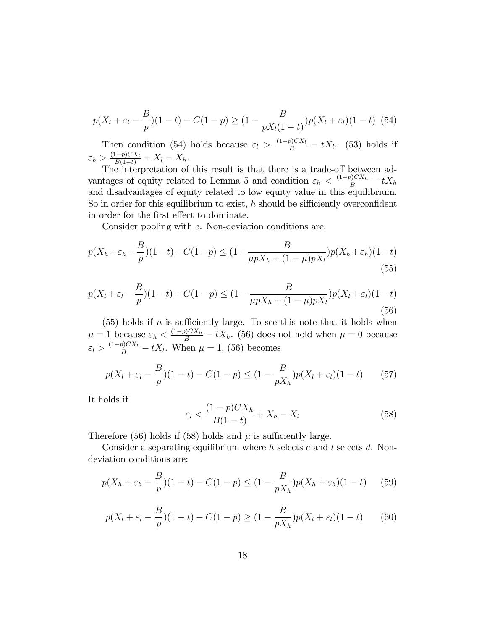$$
p(X_l + \varepsilon_l - \frac{B}{p})(1-t) - C(1-p) \ge (1 - \frac{B}{pX_l(1-t)})p(X_l + \varepsilon_l)(1-t)
$$
 (54)

Then condition (54) holds because  $\varepsilon_l > \frac{(1-p)CX_l}{B} - tX_l$ . (53) holds if  $\varepsilon_h > \frac{(1-p)CX_l}{B(1-t)} + X_l - X_h.$ 

The interpretation of this result is that there is a trade-off between advantages of equity related to Lemma 5 and condition  $\varepsilon_h < \frac{(1-p)CX_h}{B} - tX_h$ and disadvantages of equity related to low equity value in this equilibrium. So in order for this equilibrium to exist,  $h$  should be sifficiently overconfident in order for the first effect to dominate.

Consider pooling with e. Non-deviation conditions are:

$$
p(X_h + \varepsilon_h - \frac{B}{p})(1-t) - C(1-p) \le (1 - \frac{B}{\mu p X_h + (1-\mu)p X_l})p(X_h + \varepsilon_h)(1-t)
$$
\n(55)

$$
p(X_l + \varepsilon_l - \frac{B}{p})(1-t) - C(1-p) \le (1 - \frac{B}{\mu p X_h + (1-\mu)p X_l})p(X_l + \varepsilon_l)(1-t)
$$
\n(56)

(55) holds if  $\mu$  is sufficiently large. To see this note that it holds when  $\mu = 1$  because  $\varepsilon_h < \frac{(1-p)CX_h}{B} - tX_h$ . (56) does not hold when  $\mu = 0$  because  $\varepsilon_l > \frac{(1-p)CX_l}{B} - tX_l$ . When  $\mu = 1$ , (56) becomes

$$
p(X_l + \varepsilon_l - \frac{B}{p})(1-t) - C(1-p) \le (1 - \frac{B}{pX_h})p(X_l + \varepsilon_l)(1-t)
$$
 (57)

It holds if

$$
\varepsilon_l < \frac{(1-p)CX_h}{B(1-t)} + X_h - X_l \tag{58}
$$

Therefore (56) holds if (58) holds and  $\mu$  is sufficiently large.

Consider a separating equilibrium where  $h$  selects  $e$  and  $l$  selects  $d$ . Nondeviation conditions are:

$$
p(X_h + \varepsilon_h - \frac{B}{p})(1-t) - C(1-p) \le (1 - \frac{B}{pX_h})p(X_h + \varepsilon_h)(1-t)
$$
 (59)

$$
p(X_l + \varepsilon_l - \frac{B}{p})(1-t) - C(1-p) \ge (1 - \frac{B}{pX_h})p(X_l + \varepsilon_l)(1-t)
$$
 (60)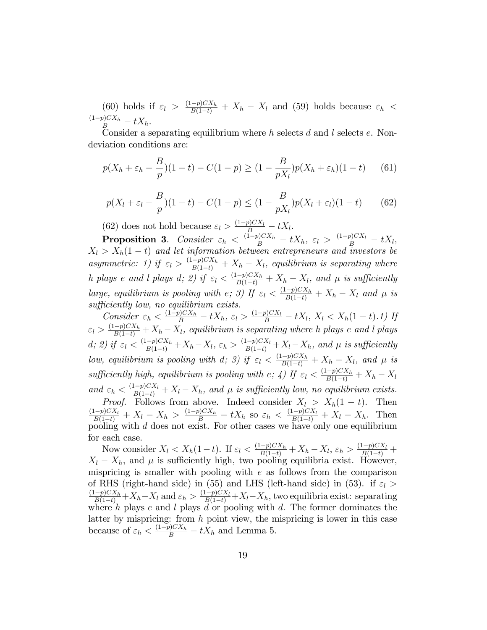(60) holds if  $\varepsilon_l > \frac{(1-p)CX_h}{B(1-t)} + X_h - X_l$  and (59) holds because  $\varepsilon_h <$  $\frac{(1-p)CX_h}{B} - tX_h.$ 

Consider a separating equilibrium where  $h$  selects  $d$  and  $l$  selects  $e$ . Nondeviation conditions are:

$$
p(X_h + \varepsilon_h - \frac{B}{p})(1-t) - C(1-p) \ge (1 - \frac{B}{pX_l})p(X_h + \varepsilon_h)(1-t)
$$
 (61)

$$
p(X_l + \varepsilon_l - \frac{B}{p})(1-t) - C(1-p) \le (1 - \frac{B}{pX_l})p(X_l + \varepsilon_l)(1-t)
$$
(62)

(62) does not hold because  $\varepsilon_l > \frac{(1-p)CX_l}{B} - tX_l$ .

**Proposition 3.** Consider  $\varepsilon_h < \frac{(\tilde{1}-p)CX_h}{B} - tX_h$ ,  $\varepsilon_l > \frac{(1-p)CX_l}{B} - tX_l$ ,  $X_l > X_h(1-t)$  and let information between entrepreneurs and investors be asymmetric: 1) if  $\varepsilon_l > \frac{(1-p)CX_h}{B(1-t)} + X_h - X_l$ , equilibrium is separating where h plays e and l plays d; 2) if  $\varepsilon_l < \frac{(1-p)CX_h}{B(1-t)} + X_h - X_l$ , and  $\mu$  is sufficiently large, equilibrium is pooling with  $e$ ; 3) If  $\varepsilon_l < \frac{(1-p)CX_h}{B(1-t)} + X_h - X_l$  and  $\mu$  is sufficiently low, no equilibrium exists.

Consider  $\varepsilon_h < \frac{(1-p)CX_h}{B} - tX_h$ ,  $\varepsilon_l > \frac{(1-p)CX_l}{B} - tX_l$ ,  $X_l < X_h(1-t)$ .1) If  $\varepsilon_l > \frac{(1-p)CX_h}{B(1-t)} + X_h - X_l$ , equilibrium is separating where h plays e and l plays d; 2) if  $\varepsilon_l \leq \frac{(1-p)CX_h}{B(1-t)} + X_h - X_l$ ,  $\varepsilon_h > \frac{(1-p)CX_l}{B(1-t)} + X_l - X_h$ , and  $\mu$  is sufficiently low, equilibrium is pooling with d; 3) if  $\varepsilon_l \leq \frac{(1-p)CX_h}{B(1-t)} + X_h - X_l$ , and  $\mu$  is sufficiently high, equilibrium is pooling with  $e$ ;  $\angle$ ) If  $\varepsilon$ <sub>l</sub>  $\leq \frac{(1-p)CX_h}{B(1-t)} + X_h - X_l$ and  $\varepsilon_h < \frac{(1-p)CX_l}{B(1-t)} + X_l - X_h$ , and  $\mu$  is sufficiently low, no equilibrium exists. *Proof.* Follows from above. Indeed consider  $X_l > X_h(1-t)$ . Then  $\frac{(1-p)CX_l}{B(1-t)} + X_l - X_h > \frac{(1-p)CX_h}{B} - tX_h$  so  $\varepsilon_h < \frac{(1-p)CX_l}{B(1-t)} + X_l - X_h$ . Then pooling with  $d$  does not exist. For other cases we have only one equilibrium for each case.

Now consider  $X_l < X_h(1-t)$ . If  $\varepsilon_l < \frac{(1-p)CX_h}{B(1-t)} + X_h - X_l$ ,  $\varepsilon_h > \frac{(1-p)CX_l}{B(1-t)} +$  $X_l - X_h$ , and  $\mu$  is sufficiently high, two pooling equilibria exist. However, mispricing is smaller with pooling with  $e$  as follows from the comparison of RHS (right-hand side) in (55) and LHS (left-hand side) in (53). if  $\varepsilon_l$  >  $\frac{(1-p)CX_h}{B(1-t)} + X_h - X_l$  and  $\varepsilon_h > \frac{(1-p)CX_l}{B(1-t)} + X_l - X_h$ , two equilibria exist: separating where h plays e and l plays d or pooling with d. The former dominates the latter by mispricing: from  $h$  point view, the mispricing is lower in this case because of  $\varepsilon_h < \frac{(1-p)CX_h}{B} - tX_h$  and Lemma 5.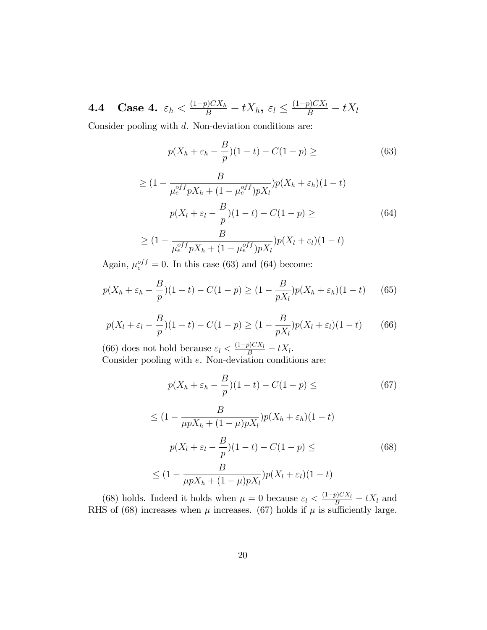**4.4** Case 4.  $\varepsilon_h < \frac{(1-p)CX_h}{B} - tX_h$ ,  $\varepsilon_l \leq \frac{(1-p)CX_l}{B} - tX_l$ 

Consider pooling with d. Non-deviation conditions are:

$$
p(X_h + \varepsilon_h - \frac{B}{p})(1 - t) - C(1 - p) \geq (63)
$$

$$
\geq (1 - \frac{B}{\mu_e^{off} p X_h + (1 - \mu_e^{off}) p X_l}) p(X_h + \varepsilon_h) (1 - t)
$$
  

$$
p(X_l + \varepsilon_l - \frac{B}{p}) (1 - t) - C(1 - p) \geq (64)
$$
  

$$
\geq (1 - \frac{B}{\mu_e^{off} p X_h + (1 - \mu_e^{off}) p X_l}) p(X_l + \varepsilon_l) (1 - t)
$$

Again,  $\mu_e^{off} = 0$ . In this case (63) and (64) become:

$$
p(X_h + \varepsilon_h - \frac{B}{p})(1-t) - C(1-p) \ge (1 - \frac{B}{pX_l})p(X_h + \varepsilon_h)(1-t)
$$
 (65)

$$
p(X_l + \varepsilon_l - \frac{B}{p})(1-t) - C(1-p) \ge (1 - \frac{B}{pX_l})p(X_l + \varepsilon_l)(1-t)
$$
 (66)

(66) does not hold because  $\varepsilon_l < \frac{(1-p)CX_l}{B} - tX_l$ . Consider pooling with e. Non-deviation conditions are:

$$
p(X_h + \varepsilon_h - \frac{B}{p})(1-t) - C(1-p) \leq \tag{67}
$$

$$
\leq (1 - \frac{B}{\mu p X_h + (1 - \mu) p X_l}) p(X_h + \varepsilon_h) (1 - t)
$$

$$
p(X_l + \varepsilon_l - \frac{B}{p})(1 - t) - C(1 - p) \leq
$$

$$
\leq (1 - \frac{B}{\mu p X_h + (1 - \mu) p X_l}) p(X_l + \varepsilon_l) (1 - t)
$$
(68)

(68) holds. Indeed it holds when  $\mu = 0$  because  $\varepsilon_l < \frac{(1-p)CX_l}{B} - tX_l$  and RHS of (68) increases when  $\mu$  increases. (67) holds if  $\mu$  is sufficiently large.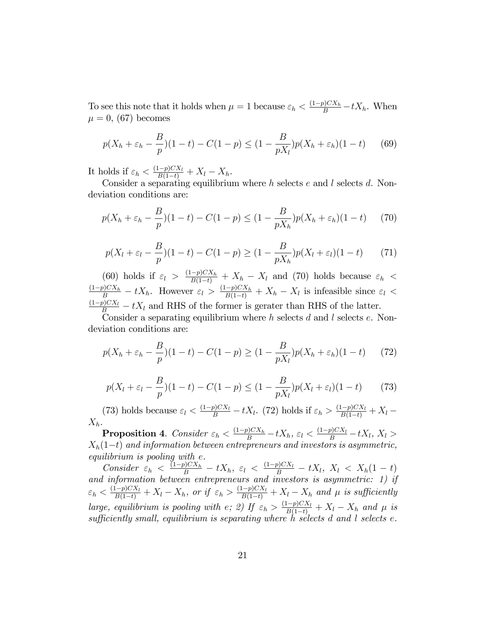To see this note that it holds when  $\mu = 1$  because  $\varepsilon_h < \frac{(1-p)CX_h}{B} - tX_h$ . When  $\mu = 0$ , (67) becomes

$$
p(X_h + \varepsilon_h - \frac{B}{p})(1-t) - C(1-p) \le (1 - \frac{B}{pX_l})p(X_h + \varepsilon_h)(1-t)
$$
 (69)

It holds if  $\varepsilon_h < \frac{(1-p)CX_l}{B(1-t)} + X_l - X_h$ .

Consider a separating equilibrium where  $h$  selects  $e$  and  $l$  selects  $d$ . Nondeviation conditions are:

$$
p(X_h + \varepsilon_h - \frac{B}{p})(1-t) - C(1-p) \le (1 - \frac{B}{pX_h})p(X_h + \varepsilon_h)(1-t)
$$
 (70)

$$
p(X_l + \varepsilon_l - \frac{B}{p})(1-t) - C(1-p) \ge (1 - \frac{B}{pX_h})p(X_l + \varepsilon_l)(1-t)
$$
 (71)

(60) holds if  $\varepsilon_l > \frac{(1-p)CX_h}{B(1-t)} + X_h - X_l$  and (70) holds because  $\varepsilon_h <$  $\frac{(1-p)CX_h}{B} - tX_h$ . However  $\varepsilon_l > \frac{(1-p)CX_h}{B(1-t)} + X_h - X_l$  is infeasible since  $\varepsilon_l <$  $\frac{(1-p)CX_l}{B} - tX_l$  and RHS of the former is gerater than RHS of the latter.

Consider a separating equilibrium where  $h$  selects  $d$  and  $l$  selects  $e$ . Nondeviation conditions are:

$$
p(X_h + \varepsilon_h - \frac{B}{p})(1-t) - C(1-p) \ge (1 - \frac{B}{pX_l})p(X_h + \varepsilon_h)(1-t)
$$
 (72)

$$
p(X_l + \varepsilon_l - \frac{B}{p})(1-t) - C(1-p) \le (1 - \frac{B}{pX_l})p(X_l + \varepsilon_l)(1-t)
$$
 (73)

(73) holds because  $\varepsilon_l < \frac{(1-p)CX_l}{B} - tX_l$ . (72) holds if  $\varepsilon_h > \frac{(1-p)CX_l}{B(1-t)} + X_l$  $X_h$ .

Proposition 4. Consider  $\varepsilon_h < \frac{(1-p)C X_h}{B} - t X_h$ ,  $\varepsilon_l < \frac{(1-p)C X_l}{B} - t X_l$ ,  $X_l >$  $X_h(1-t)$  and information between entrepreneurs and investors is asymmetric, equilibrium is pooling with e.

Consider  $\epsilon_h \leq \frac{(1-p)CX_h}{B} - tX_h$ ,  $\epsilon_l \leq \frac{(1-p)CX_l}{B} - tX_l$ ,  $X_l \leq X_h(1-t)$ and information between entrepreneurs and investors is asymmetric: 1) if  $\varepsilon_h < \frac{(1-p)CX_l}{B(1-t)} + X_l - X_h$ , or if  $\varepsilon_h > \frac{(1-p)CX_l}{B(1-t)} + X_l - X_h$  and  $\mu$  is sufficiently large, equilibrium is pooling with e; 2) If  $\varepsilon_h > \frac{(1-p)CX_l}{B(1-t)} + X_l - X_h$  and  $\mu$  is  $sufficiently small, equilibrium is separating where h selects d and l selects e.$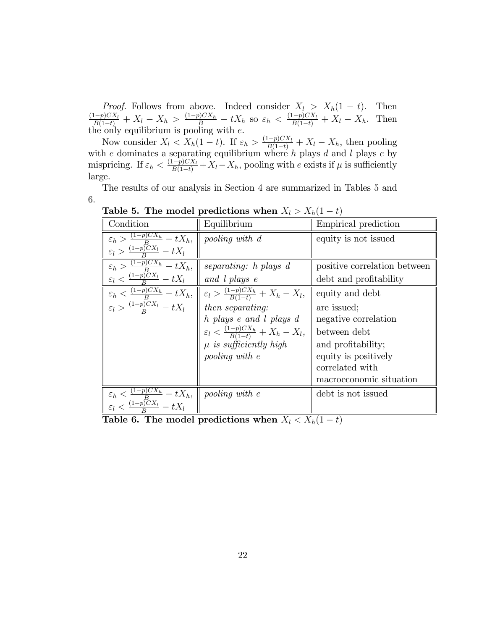*Proof.* Follows from above. Indeed consider  $X_l > X_h(1-t)$ . Then  $\frac{(1-p)CX_l}{B(1-t)} + X_l - X_h > \frac{(1-p)CX_h}{B} - tX_h$  so  $\varepsilon_h < \frac{(1-p)CX_l}{B(1-t)} + X_l - X_h$ . Then the only equilibrium is pooling with  $e$ .

Now consider  $X_l \nvert X_h(1-t)$ . If  $\varepsilon_h > \frac{(1-p)CX_l}{B(1-t)} + X_l - X_h$ , then pooling with e dominates a separating equilibrium where  $h$  plays  $d$  and  $l$  plays  $e$  by mispricing. If  $\varepsilon_h < \frac{(1-p)CX_l}{B(1-t)} + X_l - X_h$ , pooling with e exists if  $\mu$  is sufficiently large.

The results of our analysis in Section 4 are summarized in Tables 5 and 6.

| Condition                                                                                               | Equilibrium                                             | Empirical prediction         |
|---------------------------------------------------------------------------------------------------------|---------------------------------------------------------|------------------------------|
| $\varepsilon_h > \frac{(1-p)CX_h}{B} - tX_h,$                                                           | pooling with d                                          | equity is not issued         |
| $\varepsilon_l > \frac{(1-p)\overline{C}X_l}{P} - tX_l$                                                 |                                                         |                              |
| $\varepsilon_h > \frac{(1-p)CX_h}{B} - tX_h,$                                                           | separating: h plays d                                   | positive correlation between |
| $\varepsilon_l < \frac{(1-p)CX_l}{R} - tX_l$                                                            | and l plays e                                           | debt and profitability       |
| $\varepsilon_h < \frac{(1-p)CX_h}{B} - tX_h,$                                                           | $\varepsilon_l > \frac{(1-p)CX_h}{B(1-t)} + X_h - X_l,$ | equity and debt              |
| $\varepsilon_l > \frac{(1-p)CX_l}{P} - tX_l$                                                            | then separating:                                        | are issued:                  |
|                                                                                                         | h plays e and l plays d                                 | negative correlation         |
|                                                                                                         | $\varepsilon_l < \frac{(1-p)CX_h}{B(1-t)} + X_h - X_l,$ | between debt                 |
|                                                                                                         | $\mu$ is sufficiently high                              | and profitability;           |
|                                                                                                         | pooling with e                                          | equity is positively         |
|                                                                                                         |                                                         | correlated with              |
|                                                                                                         |                                                         | macroeconomic situation      |
| $\varepsilon_h < \frac{(1-p)CX_h}{\frac{B}{P}} - tX_h,$<br>$\varepsilon_l < \frac{(1-p)CX_l}{P} - tX_l$ | <i>pooling with e</i>                                   | debt is not issued           |
|                                                                                                         |                                                         |                              |

Table 5. The model predictions when  $X_l > X_h(1-t)$ 

Table 6. The model predictions when  $X_l < X_h(1-t)$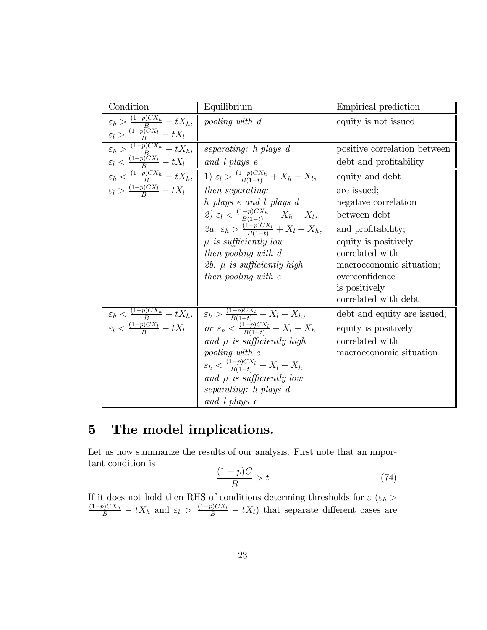| Condition                                                       | Equilibrium                                                                                                                                                                                                                                                                        | Empirical prediction         |
|-----------------------------------------------------------------|------------------------------------------------------------------------------------------------------------------------------------------------------------------------------------------------------------------------------------------------------------------------------------|------------------------------|
| $\varepsilon_h > \frac{(1-p)CX_h}{B} - tX_h,$                   | pooling with d                                                                                                                                                                                                                                                                     | equity is not issued         |
| $\varepsilon_l > \frac{(1-p)\overline{C}X_l}{B} - tX_l$         |                                                                                                                                                                                                                                                                                    |                              |
| $\varepsilon_h > \frac{(1-p)CX_h}{B} - tX_h,$                   | $separating: h$ plays $d$                                                                                                                                                                                                                                                          | positive correlation between |
| $\varepsilon_l \leq \frac{(1-p)CX_l}{R} - tX_l$   and l plays e |                                                                                                                                                                                                                                                                                    | debt and profitability       |
|                                                                 | $\frac{E}{\varepsilon_h \leq \frac{(1-p)CX_h}{R} - tX_h, \  1 \leq l} > \frac{(1-p)CX_h}{B(1-t)} + X_h - X_l,$                                                                                                                                                                     | equity and debt              |
| $\varepsilon_l > \frac{(1-p)CX_l}{P} - tX_l$   then separating: |                                                                                                                                                                                                                                                                                    | are issued;                  |
|                                                                 | h plays e and l plays d                                                                                                                                                                                                                                                            | negative correlation         |
|                                                                 | 2) $\varepsilon_l < \frac{(1-p)CX_h}{B(1-t)} + X_h - X_l$ ,                                                                                                                                                                                                                        | between debt                 |
|                                                                 | 2a. $\varepsilon_h > \frac{(1-p)CX_l}{B(1-t)} + X_l - X_h$ ,                                                                                                                                                                                                                       | and profitability;           |
|                                                                 | $\mu$ is sufficiently low                                                                                                                                                                                                                                                          | equity is positively         |
|                                                                 | then pooling with d                                                                                                                                                                                                                                                                | correlated with              |
|                                                                 | $2b. \mu$ is sufficiently high                                                                                                                                                                                                                                                     | macroeconomic situation;     |
|                                                                 | then pooling with e                                                                                                                                                                                                                                                                | overconfidence               |
|                                                                 |                                                                                                                                                                                                                                                                                    | is positively                |
|                                                                 |                                                                                                                                                                                                                                                                                    | correlated with debt         |
|                                                                 | $\overline{\varepsilon_h} < \frac{(1-p)CX_h}{B} - tX_h,$ $\varepsilon_l < \frac{(1-p)CX_l}{B} - tX_l$ $\overline{\varepsilon_h} < \frac{(1-p)CX_l}{B} + X_l - X_h,$ $\varepsilon_l < \frac{(1-p)CX_l}{B} - tX_l$ $\overline{\varepsilon_h} < \frac{(1-p)CX_l}{B(1-t)} + X_l - X_h$ | debt and equity are issued;  |
|                                                                 |                                                                                                                                                                                                                                                                                    | equity is positively         |
|                                                                 | and $\mu$ is sufficiently high<br>pooling with $e$                                                                                                                                                                                                                                 | correlated with              |
|                                                                 |                                                                                                                                                                                                                                                                                    | macroeconomic situation      |
|                                                                 | $\varepsilon_h < \frac{(1-p)CX_l}{B(1-t)} + X_l - X_h$                                                                                                                                                                                                                             |                              |
|                                                                 | and $\mu$ is sufficiently low                                                                                                                                                                                                                                                      |                              |
|                                                                 | $separating: h$ plays $d$                                                                                                                                                                                                                                                          |                              |
|                                                                 | and l plays e                                                                                                                                                                                                                                                                      |                              |

# 5 The model implications.

Let us now summarize the results of our analysis. First note that an important condition is

$$
\frac{(1-p)C}{B} > t \tag{74}
$$

If it does not hold then RHS of conditions determing thresholds for  $\varepsilon$  ( $\varepsilon_h$ )  $\frac{(1-p)CX_h}{B} - tX_h$  and  $\varepsilon_l > \frac{(1-p)CX_l}{B} - tX_l$  that separate different cases are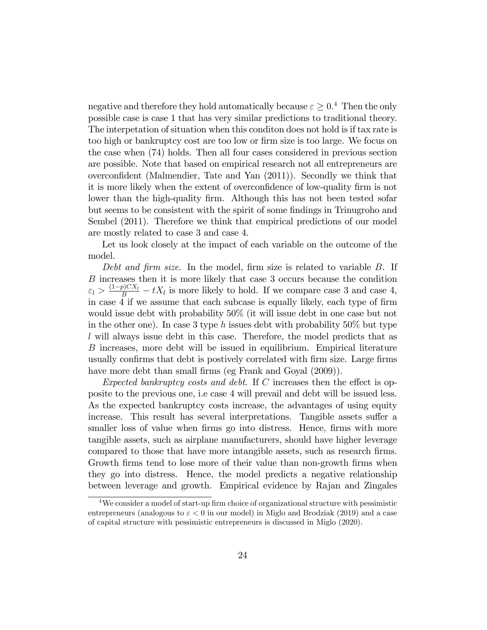negative and therefore they hold automatically because  $\varepsilon \geq 0.4$  Then the only possible case is case 1 that has very similar predictions to traditional theory. The interpetation of situation when this conditon does not hold is if tax rate is too high or bankruptcy cost are too low or firm size is too large. We focus on the case when (74) holds. Then all four cases considered in previous section are possible. Note that based on empirical research not all entrepreneurs are overconfident (Malmendier, Tate and Yan  $(2011)$ ). Secondly we think that it is more likely when the extent of overconfidence of low-quality firm is not lower than the high-quality firm. Although this has not been tested sofar but seems to be consistent with the spirit of some findings in Trinugroho and Sembel (2011). Therefore we think that empirical predictions of our model are mostly related to case 3 and case 4.

Let us look closely at the impact of each variable on the outcome of the model.

Debt and firm size. In the model, firm size is related to variable  $B$ . If B increases then it is more likely that case 3 occurs because the condition  $\varepsilon_l > \frac{(1-p)CX_l}{B} - tX_l$  is more likely to hold. If we compare case 3 and case 4, in case 4 if we assume that each subcase is equally likely, each type of firm would issue debt with probability 50% (it will issue debt in one case but not in the other one). In case 3 type h issues debt with probability  $50\%$  but type l will always issue debt in this case. Therefore, the model predicts that as B increases, more debt will be issued in equilibrium. Empirical literature usually confirms that debt is postively correlated with firm size. Large firms have more debt than small firms (eg Frank and Goyal (2009)).

Expected bankruptcy costs and debt. If C increases then the effect is opposite to the previous one, i.e case 4 will prevail and debt will be issued less. As the expected bankruptcy costs increase, the advantages of using equity increase. This result has several interpretations. Tangible assets suffer a smaller loss of value when firms go into distress. Hence, firms with more tangible assets, such as airplane manufacturers, should have higher leverage compared to those that have more intangible assets, such as research firms. Growth firms tend to lose more of their value than non-growth firms when they go into distress. Hence, the model predicts a negative relationship between leverage and growth. Empirical evidence by Rajan and Zingales

 $4$ We consider a model of start-up firm choice of organizational structure with pessimistic entrepreneurs (analogous to  $\varepsilon < 0$  in our model) in Miglo and Brodziak (2019) and a case of capital structure with pessimistic entrepreneurs is discussed in Miglo (2020).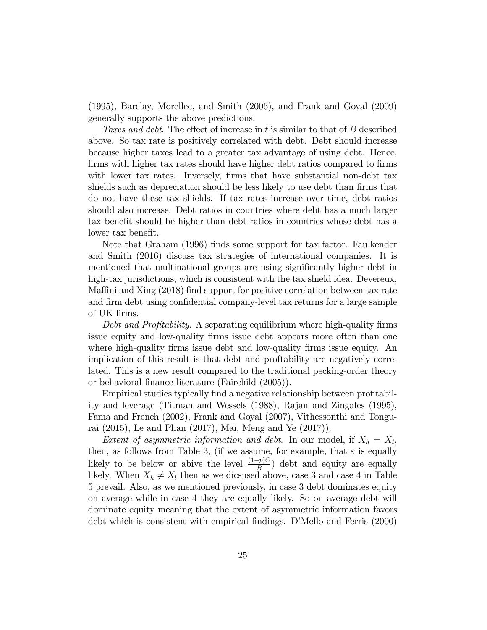(1995), Barclay, Morellec, and Smith (2006), and Frank and Goyal (2009) generally supports the above predictions.

Taxes and debt. The effect of increase in t is similar to that of B described above. So tax rate is positively correlated with debt. Debt should increase because higher taxes lead to a greater tax advantage of using debt. Hence, firms with higher tax rates should have higher debt ratios compared to firms with lower tax rates. Inversely, firms that have substantial non-debt tax shields such as depreciation should be less likely to use debt than firms that do not have these tax shields. If tax rates increase over time, debt ratios should also increase. Debt ratios in countries where debt has a much larger tax benefit should be higher than debt ratios in countries whose debt has a lower tax benefit.

Note that Graham (1996) finds some support for tax factor. Faulkender and Smith (2016) discuss tax strategies of international companies. It is mentioned that multinational groups are using significantly higher debt in high-tax jurisdictions, which is consistent with the tax shield idea. Devereux, Maffini and Xing (2018) find support for positive correlation between tax rate and firm debt using confidential company-level tax returns for a large sample of UK Örms.

Debt and Profitability. A separating equilibrium where high-quality firms issue equity and low-quality firms issue debt appears more often than one where high-quality firms issue debt and low-quality firms issue equity. An implication of this result is that debt and proftability are negatively correlated. This is a new result compared to the traditional pecking-order theory or behavioral finance literature (Fairchild (2005)).

Empirical studies typically find a negative relationship between profitability and leverage (Titman and Wessels (1988), Rajan and Zingales (1995), Fama and French (2002), Frank and Goyal (2007), Vithessonthi and Tongurai (2015), Le and Phan (2017), Mai, Meng and Ye (2017)).

*Extent of asymmetric information and debt.* In our model, if  $X_h = X_l$ , then, as follows from Table 3, (if we assume, for example, that  $\varepsilon$  is equally likely to be below or abive the level  $\frac{(1-p)C}{B}$  debt and equity are equally likely. When  $X_h \neq X_l$  then as we dicsused above, case 3 and case 4 in Table 5 prevail. Also, as we mentioned previously, in case 3 debt dominates equity on average while in case 4 they are equally likely. So on average debt will dominate equity meaning that the extent of asymmetric information favors debt which is consistent with empirical findings. D'Mello and Ferris (2000)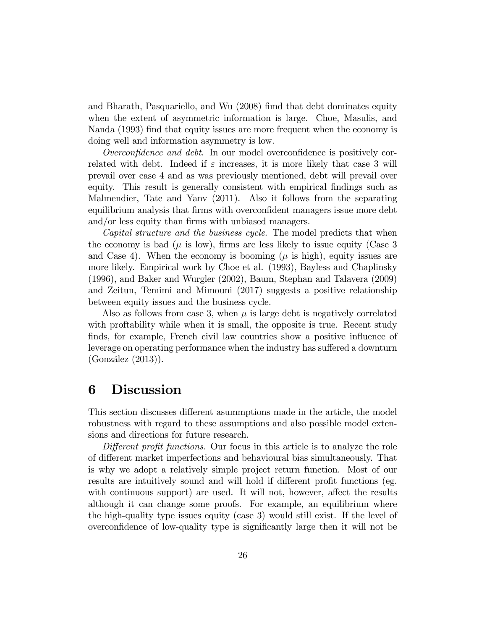and Bharath, Pasquariello, and Wu (2008) fimd that debt dominates equity when the extent of asymmetric information is large. Choe, Masulis, and Nanda (1993) find that equity issues are more frequent when the economy is doing well and information asymmetry is low.

Overconfidence and debt. In our model overconfidence is positively correlated with debt. Indeed if  $\varepsilon$  increases, it is more likely that case 3 will prevail over case 4 and as was previously mentioned, debt will prevail over equity. This result is generally consistent with empirical findings such as Malmendier, Tate and Yanv (2011). Also it follows from the separating equilibrium analysis that firms with overconfident managers issue more debt and/or less equity than firms with unbiased managers.

Capital structure and the business cycle. The model predicts that when the economy is bad ( $\mu$  is low), firms are less likely to issue equity (Case 3) and Case 4). When the economy is booming  $(\mu \text{ is high})$ , equity issues are more likely. Empirical work by Choe et al. (1993), Bayless and Chaplinsky (1996), and Baker and Wurgler (2002), Baum, Stephan and Talavera (2009) and Zeitun, Temimi and Mimouni (2017) suggests a positive relationship between equity issues and the business cycle.

Also as follows from case 3, when  $\mu$  is large debt is negatively correlated with proftability while when it is small, the opposite is true. Recent study finds, for example, French civil law countries show a positive influence of leverage on operating performance when the industry has suffered a downturn  $(González (2013)).$ 

# 6 Discussion

This section discusses different asummptions made in the article, the model robustness with regard to these assumptions and also possible model extensions and directions for future research.

Different profit functions. Our focus in this article is to analyze the role of different market imperfections and behavioural bias simultaneously. That is why we adopt a relatively simple project return function. Most of our results are intuitively sound and will hold if different profit functions (eg. with continuous support) are used. It will not, however, affect the results although it can change some proofs. For example, an equilibrium where the high-quality type issues equity (case 3) would still exist. If the level of overconfidence of low-quality type is significantly large then it will not be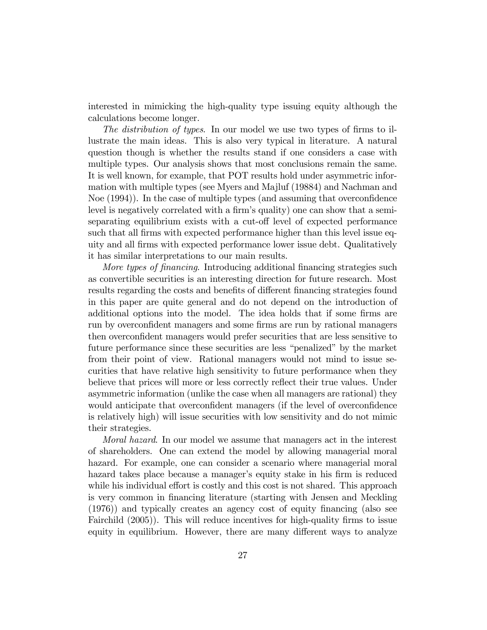interested in mimicking the high-quality type issuing equity although the calculations become longer.

The distribution of types. In our model we use two types of firms to illustrate the main ideas. This is also very typical in literature. A natural question though is whether the results stand if one considers a case with multiple types. Our analysis shows that most conclusions remain the same. It is well known, for example, that POT results hold under asymmetric information with multiple types (see Myers and Majluf (19884) and Nachman and Noe  $(1994)$ . In the case of multiple types (and assuming that overconfidence level is negatively correlated with a firm's quality) one can show that a semiseparating equilibrium exists with a cut-off level of expected performance such that all firms with expected performance higher than this level issue equity and all Örms with expected performance lower issue debt. Qualitatively it has similar interpretations to our main results.

More types of financing. Introducing additional financing strategies such as convertible securities is an interesting direction for future research. Most results regarding the costs and benefits of different financing strategies found in this paper are quite general and do not depend on the introduction of additional options into the model. The idea holds that if some firms are run by overconfident managers and some firms are run by rational managers then overconfident managers would prefer securities that are less sensitive to future performance since these securities are less "penalized" by the market from their point of view. Rational managers would not mind to issue securities that have relative high sensitivity to future performance when they believe that prices will more or less correctly reflect their true values. Under asymmetric information (unlike the case when all managers are rational) they would anticipate that overconfident managers (if the level of overconfidence is relatively high) will issue securities with low sensitivity and do not mimic their strategies.

Moral hazard. In our model we assume that managers act in the interest of shareholders. One can extend the model by allowing managerial moral hazard. For example, one can consider a scenario where managerial moral hazard takes place because a manager's equity stake in his firm is reduced while his individual effort is costly and this cost is not shared. This approach is very common in financing literature (starting with Jensen and Meckling (1976)) and typically creates an agency cost of equity Önancing (also see Fairchild (2005)). This will reduce incentives for high-quality firms to issue equity in equilibrium. However, there are many different ways to analyze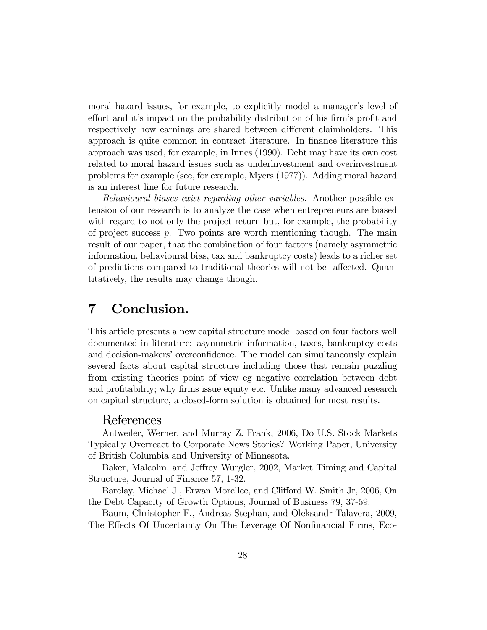moral hazard issues, for example, to explicitly model a manager's level of effort and it's impact on the probability distribution of his firm's profit and respectively how earnings are shared between different claimholders. This approach is quite common in contract literature. In finance literature this approach was used, for example, in Innes (1990). Debt may have its own cost related to moral hazard issues such as underinvestment and overinvestment problems for example (see, for example, Myers (1977)). Adding moral hazard is an interest line for future research.

Behavioural biases exist regarding other variables. Another possible extension of our research is to analyze the case when entrepreneurs are biased with regard to not only the project return but, for example, the probability of project success  $p$ . Two points are worth mentioning though. The main result of our paper, that the combination of four factors (namely asymmetric information, behavioural bias, tax and bankruptcy costs) leads to a richer set of predictions compared to traditional theories will not be affected. Quantitatively, the results may change though.

# 7 Conclusion.

This article presents a new capital structure model based on four factors well documented in literature: asymmetric information, taxes, bankruptcy costs and decision-makers' overconfidence. The model can simultaneously explain several facts about capital structure including those that remain puzzling from existing theories point of view eg negative correlation between debt and profitability; why firms issue equity etc. Unlike many advanced research on capital structure, a closed-form solution is obtained for most results.

### References

Antweiler, Werner, and Murray Z. Frank, 2006, Do U.S. Stock Markets Typically Overreact to Corporate News Stories? Working Paper, University of British Columbia and University of Minnesota.

Baker, Malcolm, and Jeffrey Wurgler, 2002, Market Timing and Capital Structure, Journal of Finance 57, 1-32.

Barclay, Michael J., Erwan Morellec, and Clifford W. Smith Jr, 2006, On the Debt Capacity of Growth Options, Journal of Business 79, 37-59.

Baum, Christopher F., Andreas Stephan, and Oleksandr Talavera, 2009, The Effects Of Uncertainty On The Leverage Of Nonfinancial Firms, Eco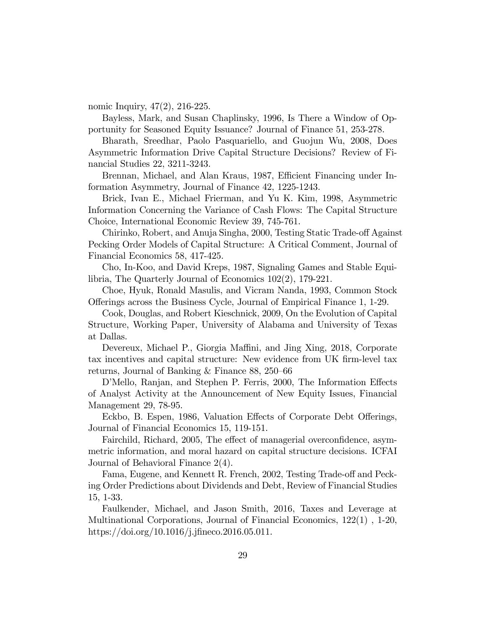nomic Inquiry, 47(2), 216-225.

Bayless, Mark, and Susan Chaplinsky, 1996, Is There a Window of Opportunity for Seasoned Equity Issuance? Journal of Finance 51, 253-278.

Bharath, Sreedhar, Paolo Pasquariello, and Guojun Wu, 2008, Does Asymmetric Information Drive Capital Structure Decisions? Review of Financial Studies 22, 3211-3243.

Brennan, Michael, and Alan Kraus, 1987, Efficient Financing under Information Asymmetry, Journal of Finance 42, 1225-1243.

Brick, Ivan E., Michael Frierman, and Yu K. Kim, 1998, Asymmetric Information Concerning the Variance of Cash Flows: The Capital Structure Choice, International Economic Review 39, 745-761.

Chirinko, Robert, and Anuja Singha, 2000, Testing Static Trade-off Against Pecking Order Models of Capital Structure: A Critical Comment, Journal of Financial Economics 58, 417-425.

Cho, In-Koo, and David Kreps, 1987, Signaling Games and Stable Equilibria, The Quarterly Journal of Economics 102(2), 179-221.

Choe, Hyuk, Ronald Masulis, and Vicram Nanda, 1993, Common Stock O§erings across the Business Cycle, Journal of Empirical Finance 1, 1-29.

Cook, Douglas, and Robert Kieschnick, 2009, On the Evolution of Capital Structure, Working Paper, University of Alabama and University of Texas at Dallas.

Devereux, Michael P., Giorgia Maffini, and Jing Xing, 2018, Corporate tax incentives and capital structure: New evidence from UK firm-level tax returns, Journal of Banking & Finance  $88, 250-66$ 

D'Mello, Ranjan, and Stephen P. Ferris, 2000, The Information Effects of Analyst Activity at the Announcement of New Equity Issues, Financial Management 29, 78-95.

Eckbo, B. Espen, 1986, Valuation Effects of Corporate Debt Offerings, Journal of Financial Economics 15, 119-151.

Fairchild, Richard, 2005, The effect of managerial overconfidence, asymmetric information, and moral hazard on capital structure decisions. ICFAI Journal of Behavioral Finance 2(4).

Fama, Eugene, and Kennett R. French, 2002, Testing Trade-off and Pecking Order Predictions about Dividends and Debt, Review of Financial Studies 15, 1-33.

Faulkender, Michael, and Jason Smith, 2016, Taxes and Leverage at Multinational Corporations, Journal of Financial Economics, 122(1) , 1-20, https://doi.org/10.1016/j.jfineco.2016.05.011.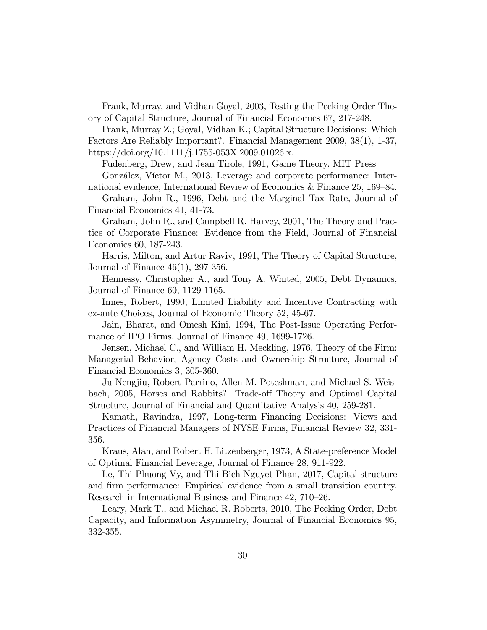Frank, Murray, and Vidhan Goyal, 2003, Testing the Pecking Order Theory of Capital Structure, Journal of Financial Economics 67, 217-248.

Frank, Murray Z.; Goyal, Vidhan K.; Capital Structure Decisions: Which Factors Are Reliably Important?. Financial Management 2009, 38(1), 1-37, https://doi.org/10.1111/j.1755-053X.2009.01026.x.

Fudenberg, Drew, and Jean Tirole, 1991, Game Theory, MIT Press

González, Víctor M., 2013, Leverage and corporate performance: International evidence, International Review of Economics & Finance  $25, 169-84$ .

Graham, John R., 1996, Debt and the Marginal Tax Rate, Journal of Financial Economics 41, 41-73.

Graham, John R., and Campbell R. Harvey, 2001, The Theory and Practice of Corporate Finance: Evidence from the Field, Journal of Financial Economics 60, 187-243.

Harris, Milton, and Artur Raviv, 1991, The Theory of Capital Structure, Journal of Finance 46(1), 297-356.

Hennessy, Christopher A., and Tony A. Whited, 2005, Debt Dynamics, Journal of Finance 60, 1129-1165.

Innes, Robert, 1990, Limited Liability and Incentive Contracting with ex-ante Choices, Journal of Economic Theory 52, 45-67.

Jain, Bharat, and Omesh Kini, 1994, The Post-Issue Operating Performance of IPO Firms, Journal of Finance 49, 1699-1726.

Jensen, Michael C., and William H. Meckling, 1976, Theory of the Firm: Managerial Behavior, Agency Costs and Ownership Structure, Journal of Financial Economics 3, 305-360.

Ju Nengjiu, Robert Parrino, Allen M. Poteshman, and Michael S. Weisbach, 2005, Horses and Rabbits? Trade-off Theory and Optimal Capital Structure, Journal of Financial and Quantitative Analysis 40, 259-281.

Kamath, Ravindra, 1997, Long-term Financing Decisions: Views and Practices of Financial Managers of NYSE Firms, Financial Review 32, 331- 356.

Kraus, Alan, and Robert H. Litzenberger, 1973, A State-preference Model of Optimal Financial Leverage, Journal of Finance 28, 911-922.

Le, Thi Phuong Vy, and Thi Bich Nguyet Phan, 2017, Capital structure and Örm performance: Empirical evidence from a small transition country. Research in International Business and Finance 42, 710–26.

Leary, Mark T., and Michael R. Roberts, 2010, The Pecking Order, Debt Capacity, and Information Asymmetry, Journal of Financial Economics 95, 332-355.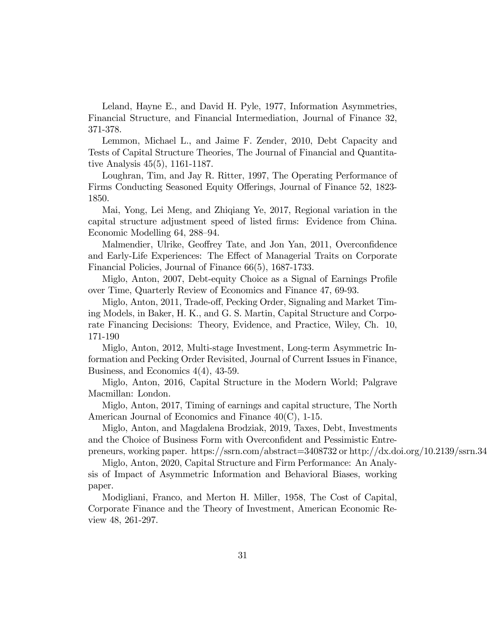Leland, Hayne E., and David H. Pyle, 1977, Information Asymmetries, Financial Structure, and Financial Intermediation, Journal of Finance 32, 371-378.

Lemmon, Michael L., and Jaime F. Zender, 2010, Debt Capacity and Tests of Capital Structure Theories, The Journal of Financial and Quantitative Analysis 45(5), 1161-1187.

Loughran, Tim, and Jay R. Ritter, 1997, The Operating Performance of Firms Conducting Seasoned Equity Offerings, Journal of Finance 52, 1823-1850.

Mai, Yong, Lei Meng, and Zhiqiang Ye, 2017, Regional variation in the capital structure adjustment speed of listed firms: Evidence from China. Economic Modelling 64, 288–94.

Malmendier, Ulrike, Geoffrey Tate, and Jon Yan, 2011, Overconfidence and Early-Life Experiences: The Effect of Managerial Traits on Corporate Financial Policies, Journal of Finance 66(5), 1687-1733.

Miglo, Anton, 2007, Debt-equity Choice as a Signal of Earnings Profile over Time, Quarterly Review of Economics and Finance 47, 69-93.

Miglo, Anton, 2011, Trade-off, Pecking Order, Signaling and Market Timing Models, in Baker, H. K., and G. S. Martin, Capital Structure and Corporate Financing Decisions: Theory, Evidence, and Practice, Wiley, Ch. 10, 171-190

Miglo, Anton, 2012, Multi-stage Investment, Long-term Asymmetric Information and Pecking Order Revisited, Journal of Current Issues in Finance, Business, and Economics 4(4), 43-59.

Miglo, Anton, 2016, Capital Structure in the Modern World; Palgrave Macmillan: London.

Miglo, Anton, 2017, Timing of earnings and capital structure, The North American Journal of Economics and Finance 40(C), 1-15.

Miglo, Anton, and Magdalena Brodziak, 2019, Taxes, Debt, Investments and the Choice of Business Form with Overconfident and Pessimistic Entrepreneurs, working paper. https://ssrn.com/abstract=3408732 or http://dx.doi.org/10.2139/ssrn.340

Miglo, Anton, 2020, Capital Structure and Firm Performance: An Analysis of Impact of Asymmetric Information and Behavioral Biases, working paper.

Modigliani, Franco, and Merton H. Miller, 1958, The Cost of Capital, Corporate Finance and the Theory of Investment, American Economic Review 48, 261-297.